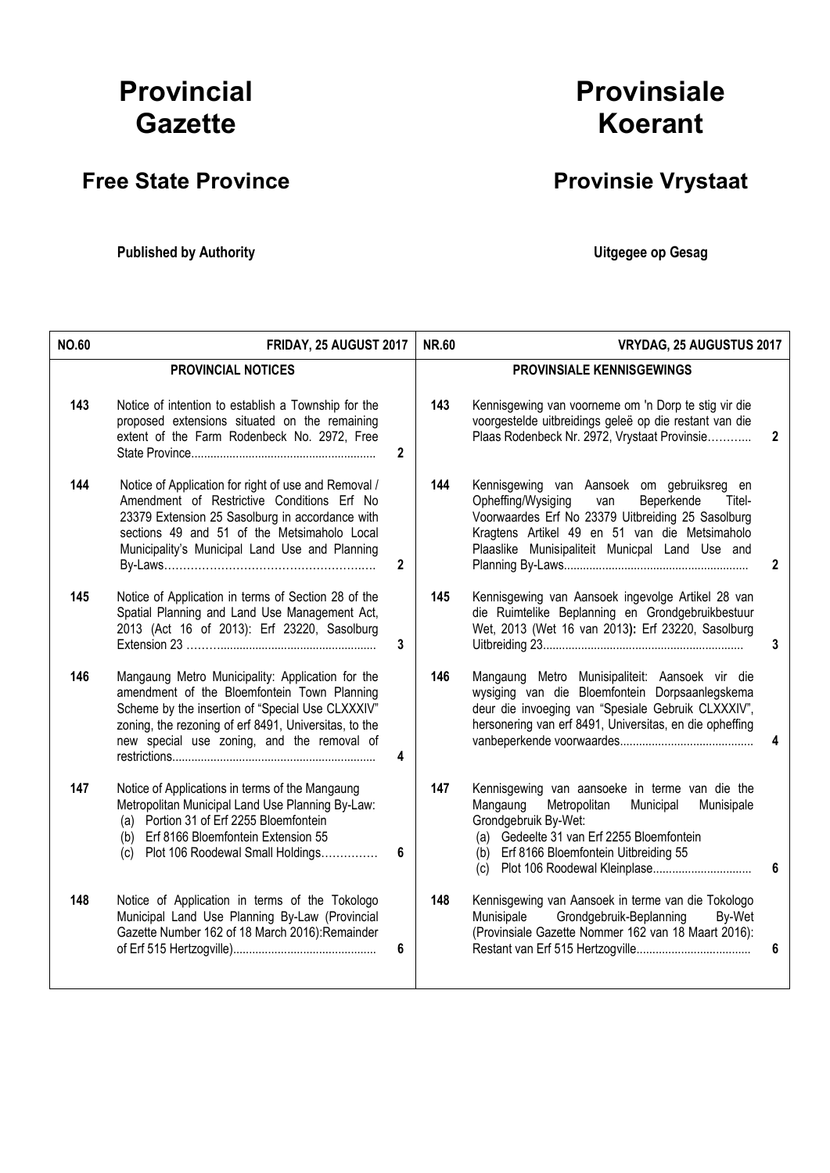# Provincial **Gazette**

## Free State Province **Provinsie Vrystaat**

Published by Authority **National Execution Control Control Control Control Control Control Control Control Control Control Control Control Control Control Control Control Control Control Control Control Control Control Con** 

# Provinsiale Koerant

| <b>NO.60</b> | FRIDAY, 25 AUGUST 2017                                                                                                                                                                                                                                                   | <b>NR.60</b> | VRYDAG, 25 AUGUSTUS 2017                                                                                                                                                                                                                                |              |
|--------------|--------------------------------------------------------------------------------------------------------------------------------------------------------------------------------------------------------------------------------------------------------------------------|--------------|---------------------------------------------------------------------------------------------------------------------------------------------------------------------------------------------------------------------------------------------------------|--------------|
|              | <b>PROVINCIAL NOTICES</b>                                                                                                                                                                                                                                                |              | <b>PROVINSIALE KENNISGEWINGS</b>                                                                                                                                                                                                                        |              |
| 143          | Notice of intention to establish a Township for the<br>proposed extensions situated on the remaining<br>extent of the Farm Rodenbeck No. 2972, Free<br>2                                                                                                                 | 143          | Kennisgewing van voorneme om 'n Dorp te stig vir die<br>voorgestelde uitbreidings geleë op die restant van die<br>Plaas Rodenbeck Nr. 2972, Vrystaat Provinsie                                                                                          | 2            |
| 144          | Notice of Application for right of use and Removal /<br>Amendment of Restrictive Conditions Erf No<br>23379 Extension 25 Sasolburg in accordance with<br>sections 49 and 51 of the Metsimaholo Local<br>Municipality's Municipal Land Use and Planning<br>$\overline{2}$ | 144          | Kennisgewing van Aansoek om gebruiksreg en<br>Opheffing/Wysiging<br>Beperkende<br>van<br>Titel-<br>Voorwaardes Erf No 23379 Uitbreiding 25 Sasolburg<br>Kragtens Artikel 49 en 51 van die Metsimaholo<br>Plaaslike Munisipaliteit Municpal Land Use and | $\mathbf{2}$ |
| 145          | Notice of Application in terms of Section 28 of the<br>Spatial Planning and Land Use Management Act,<br>2013 (Act 16 of 2013): Erf 23220, Sasolburg<br>3                                                                                                                 | 145          | Kennisgewing van Aansoek ingevolge Artikel 28 van<br>die Ruimtelike Beplanning en Grondgebruikbestuur<br>Wet, 2013 (Wet 16 van 2013): Erf 23220, Sasolburg                                                                                              | 3            |
| 146          | Mangaung Metro Municipality: Application for the<br>amendment of the Bloemfontein Town Planning<br>Scheme by the insertion of "Special Use CLXXXIV"<br>zoning, the rezoning of erf 8491, Universitas, to the<br>new special use zoning, and the removal of<br>4          | 146          | Mangaung Metro Munisipaliteit: Aansoek vir die<br>wysiging van die Bloemfontein Dorpsaanlegskema<br>deur die invoeging van "Spesiale Gebruik CLXXXIV",<br>hersonering van erf 8491, Universitas, en die opheffing                                       | 4            |
| 147          | Notice of Applications in terms of the Mangaung<br>Metropolitan Municipal Land Use Planning By-Law:<br>(a) Portion 31 of Erf 2255 Bloemfontein<br>(b) Erf 8166 Bloemfontein Extension 55<br>(c) Plot 106 Roodewal Small Holdings<br>6                                    | 147          | Kennisgewing van aansoeke in terme van die the<br>Mangaung<br>Metropolitan<br>Municipal<br>Munisipale<br>Grondgebruik By-Wet:<br>(a) Gedeelte 31 van Erf 2255 Bloemfontein<br>(b) Erf 8166 Bloemfontein Uitbreiding 55                                  | 6            |
| 148          | Notice of Application in terms of the Tokologo<br>Municipal Land Use Planning By-Law (Provincial<br>Gazette Number 162 of 18 March 2016):Remainder<br>6                                                                                                                  | 148          | Kennisgewing van Aansoek in terme van die Tokologo<br>Grondgebruik-Beplanning<br>Munisipale<br>By-Wet<br>(Provinsiale Gazette Nommer 162 van 18 Maart 2016):                                                                                            | 6            |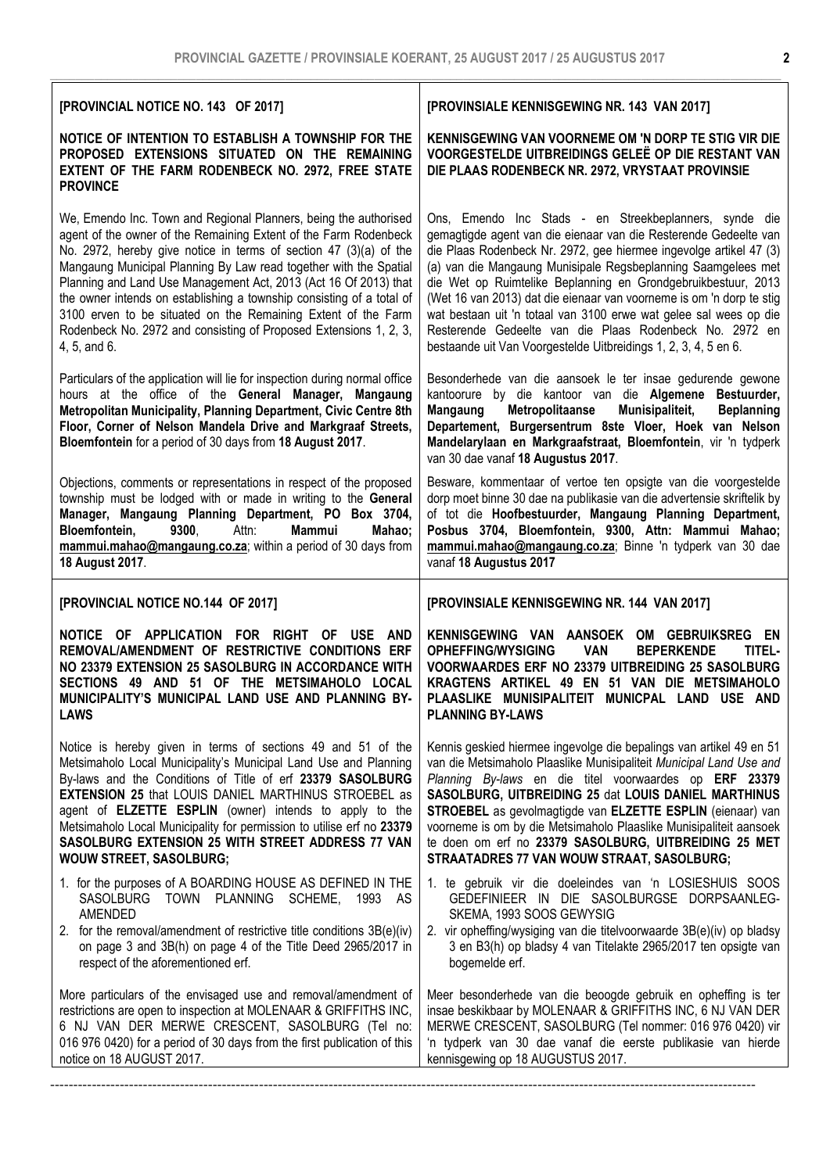| [PROVINCIAL NOTICE NO. 143 OF 2017]                                                                                                                                                                                                                                                                                                                                                                                                                                                                                                                                               | [PROVINSIALE KENNISGEWING NR. 143 VAN 2017]                                                                                                                                                                                                                                                                                                                                                                                                                                                                                                                                                                   |
|-----------------------------------------------------------------------------------------------------------------------------------------------------------------------------------------------------------------------------------------------------------------------------------------------------------------------------------------------------------------------------------------------------------------------------------------------------------------------------------------------------------------------------------------------------------------------------------|---------------------------------------------------------------------------------------------------------------------------------------------------------------------------------------------------------------------------------------------------------------------------------------------------------------------------------------------------------------------------------------------------------------------------------------------------------------------------------------------------------------------------------------------------------------------------------------------------------------|
| NOTICE OF INTENTION TO ESTABLISH A TOWNSHIP FOR THE<br>PROPOSED EXTENSIONS SITUATED ON THE REMAINING<br>EXTENT OF THE FARM RODENBECK NO. 2972, FREE STATE<br><b>PROVINCE</b>                                                                                                                                                                                                                                                                                                                                                                                                      | KENNISGEWING VAN VOORNEME OM 'N DORP TE STIG VIR DIE<br>VOORGESTELDE UITBREIDINGS GELEË OP DIE RESTANT VAN<br>DIE PLAAS RODENBECK NR. 2972, VRYSTAAT PROVINSIE                                                                                                                                                                                                                                                                                                                                                                                                                                                |
| We, Emendo Inc. Town and Regional Planners, being the authorised<br>agent of the owner of the Remaining Extent of the Farm Rodenbeck<br>No. 2972, hereby give notice in terms of section 47 (3)(a) of the<br>Mangaung Municipal Planning By Law read together with the Spatial<br>Planning and Land Use Management Act, 2013 (Act 16 Of 2013) that<br>the owner intends on establishing a township consisting of a total of<br>3100 erven to be situated on the Remaining Extent of the Farm<br>Rodenbeck No. 2972 and consisting of Proposed Extensions 1, 2, 3,<br>4, 5, and 6. | Ons, Emendo Inc Stads - en Streekbeplanners, synde die<br>gemagtigde agent van die eienaar van die Resterende Gedeelte van<br>die Plaas Rodenbeck Nr. 2972, gee hiermee ingevolge artikel 47 (3)<br>(a) van die Mangaung Munisipale Regsbeplanning Saamgelees met<br>die Wet op Ruimtelike Beplanning en Grondgebruikbestuur, 2013<br>(Wet 16 van 2013) dat die eienaar van voorneme is om 'n dorp te stig<br>wat bestaan uit 'n totaal van 3100 erwe wat gelee sal wees op die<br>Resterende Gedeelte van die Plaas Rodenbeck No. 2972 en<br>bestaande uit Van Voorgestelde Uitbreidings 1, 2, 3, 4, 5 en 6. |
| Particulars of the application will lie for inspection during normal office<br>hours at the office of the General Manager, Mangaung<br>Metropolitan Municipality, Planning Department, Civic Centre 8th<br>Floor, Corner of Nelson Mandela Drive and Markgraaf Streets,<br>Bloemfontein for a period of 30 days from 18 August 2017.                                                                                                                                                                                                                                              | Besonderhede van die aansoek le ter insae gedurende gewone<br>kantoorure by die kantoor van die Algemene Bestuurder,<br>Mangaung<br>Metropolitaanse<br>Munisipaliteit,<br><b>Beplanning</b><br>Departement, Burgersentrum 8ste Vloer, Hoek van Nelson<br>Mandelarylaan en Markgraafstraat, Bloemfontein, vir 'n tydperk<br>van 30 dae vanaf 18 Augustus 2017.                                                                                                                                                                                                                                                 |
| Objections, comments or representations in respect of the proposed<br>township must be lodged with or made in writing to the General<br>Manager, Mangaung Planning Department, PO Box 3704,<br><b>Mammui</b><br>Bloemfontein,<br>9300,<br>Attn:<br>Mahao;<br>mammui.mahao@mangaung.co.za; within a period of 30 days from<br>18 August 2017.                                                                                                                                                                                                                                      | Besware, kommentaar of vertoe ten opsigte van die voorgestelde<br>dorp moet binne 30 dae na publikasie van die advertensie skriftelik by<br>of tot die Hoofbestuurder, Mangaung Planning Department,<br>Posbus 3704, Bloemfontein, 9300, Attn: Mammui Mahao;<br>mammui.mahao@mangaung.co.za; Binne 'n tydperk van 30 dae<br>vanaf 18 Augustus 2017                                                                                                                                                                                                                                                            |
| [PROVINCIAL NOTICE NO.144 OF 2017]                                                                                                                                                                                                                                                                                                                                                                                                                                                                                                                                                | [PROVINSIALE KENNISGEWING NR. 144 VAN 2017]                                                                                                                                                                                                                                                                                                                                                                                                                                                                                                                                                                   |
| NOTICE OF APPLICATION<br>FOR RIGHT OF<br>USE AND<br>REMOVAL/AMENDMENT OF RESTRICTIVE CONDITIONS ERF<br>NO 23379 EXTENSION 25 SASOLBURG IN ACCORDANCE WITH<br>SECTIONS 49 AND 51 OF THE METSIMAHOLO LOCAL<br>MUNICIPALITY'S MUNICIPAL LAND USE AND PLANNING BY-<br><b>LAWS</b>                                                                                                                                                                                                                                                                                                     | KENNISGEWING VAN AANSOEK OM GEBRUIKSREG EN<br>OPHEFFING/WYSIGING<br><b>VAN</b><br><b>BEPERKENDE</b><br>TITEL-<br>VOORWAARDES ERF NO 23379 UITBREIDING 25 SASOLBURG<br>KRAGTENS ARTIKEL 49 EN 51 VAN DIE METSIMAHOLO<br>PLAASLIKE MUNISIPALITEIT MUNICPAL LAND USE AND<br><b>PLANNING BY-LAWS</b>                                                                                                                                                                                                                                                                                                              |
| Notice is hereby given in terms of sections 49 and 51 of the<br>Metsimaholo Local Municipality's Municipal Land Use and Planning<br>By-laws and the Conditions of Title of erf 23379 SASOLBURG<br><b>EXTENSION 25 that LOUIS DANIEL MARTHINUS STROEBEL as</b><br>agent of <b>ELZETTE ESPLIN</b> (owner) intends to apply to the<br>Metsimaholo Local Municipality for permission to utilise erf no 23379<br>SASOLBURG EXTENSION 25 WITH STREET ADDRESS 77 VAN<br><b>WOUW STREET, SASOLBURG;</b>                                                                                   | Kennis geskied hiermee ingevolge die bepalings van artikel 49 en 51<br>van die Metsimaholo Plaaslike Munisipaliteit Municipal Land Use and<br>Planning By-laws en die titel voorwaardes op ERF 23379<br>SASOLBURG, UITBREIDING 25 dat LOUIS DANIEL MARTHINUS<br>STROEBEL as gevolmagtigde van ELZETTE ESPLIN (eienaar) van<br>voorneme is om by die Metsimaholo Plaaslike Munisipaliteit aansoek<br>te doen om erf no 23379 SASOLBURG, UITBREIDING 25 MET<br>STRAATADRES 77 VAN WOUW STRAAT, SASOLBURG;                                                                                                       |
| 1. for the purposes of A BOARDING HOUSE AS DEFINED IN THE<br>SASOLBURG TOWN PLANNING SCHEME, 1993 AS<br>AMENDED<br>2. for the removal/amendment of restrictive title conditions 3B(e)(iv)                                                                                                                                                                                                                                                                                                                                                                                         | 1. te gebruik vir die doeleindes van 'n LOSIESHUIS SOOS<br>GEDEFINIEER IN DIE SASOLBURGSE DORPSAANLEG-<br>SKEMA, 1993 SOOS GEWYSIG<br>2. vir opheffing/wysiging van die titelvoorwaarde 3B(e)(iv) op bladsy                                                                                                                                                                                                                                                                                                                                                                                                   |
| on page 3 and 3B(h) on page 4 of the Title Deed 2965/2017 in<br>respect of the aforementioned erf.                                                                                                                                                                                                                                                                                                                                                                                                                                                                                | 3 en B3(h) op bladsy 4 van Titelakte 2965/2017 ten opsigte van<br>bogemelde erf.                                                                                                                                                                                                                                                                                                                                                                                                                                                                                                                              |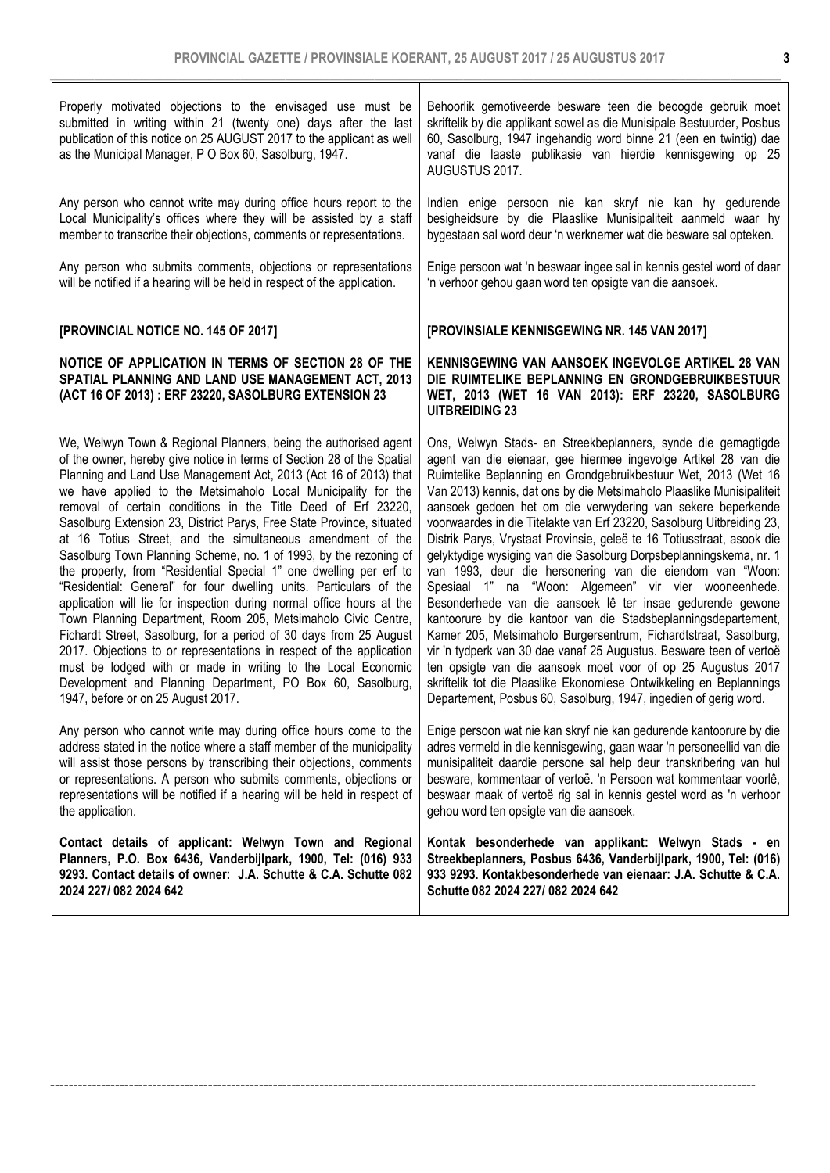3

| Properly motivated objections to the envisaged use must be<br>submitted in writing within 21 (twenty one) days after the last<br>publication of this notice on 25 AUGUST 2017 to the applicant as well<br>as the Municipal Manager, P O Box 60, Sasolburg, 1947. | Behoorlik gemotiveerde besware teen die beoogde gebruik moet<br>skriftelik by die applikant sowel as die Munisipale Bestuurder, Posbus<br>60, Sasolburg, 1947 ingehandig word binne 21 (een en twintig) dae<br>vanaf die laaste publikasie van hierdie kennisgewing op 25<br>AUGUSTUS 2017. |
|------------------------------------------------------------------------------------------------------------------------------------------------------------------------------------------------------------------------------------------------------------------|---------------------------------------------------------------------------------------------------------------------------------------------------------------------------------------------------------------------------------------------------------------------------------------------|
| Any person who cannot write may during office hours report to the                                                                                                                                                                                                | Indien enige persoon nie kan skryf nie kan hy gedurende                                                                                                                                                                                                                                     |
| Local Municipality's offices where they will be assisted by a staff                                                                                                                                                                                              | besigheidsure by die Plaaslike Munisipaliteit aanmeld waar hy                                                                                                                                                                                                                               |
| member to transcribe their objections, comments or representations.                                                                                                                                                                                              | bygestaan sal word deur 'n werknemer wat die besware sal opteken.                                                                                                                                                                                                                           |
| Any person who submits comments, objections or representations                                                                                                                                                                                                   | Enige persoon wat 'n beswaar ingee sal in kennis gestel word of daar                                                                                                                                                                                                                        |
| will be notified if a hearing will be held in respect of the application.                                                                                                                                                                                        | 'n verhoor gehou gaan word ten opsigte van die aansoek.                                                                                                                                                                                                                                     |
| [PROVINCIAL NOTICE NO. 145 OF 2017]                                                                                                                                                                                                                              | [PROVINSIALE KENNISGEWING NR. 145 VAN 2017]                                                                                                                                                                                                                                                 |
| NOTICE OF APPLICATION IN TERMS OF SECTION 28 OF THE<br>SPATIAL PLANNING AND LAND USE MANAGEMENT ACT, 2013<br>(ACT 16 OF 2013) : ERF 23220, SASOLBURG EXTENSION 23                                                                                                | KENNISGEWING VAN AANSOEK INGEVOLGE ARTIKEL 28 VAN<br>DIE RUIMTELIKE BEPLANNING EN GRONDGEBRUIKBESTUUR<br>WET, 2013 (WET 16 VAN 2013): ERF 23220, SASOLBURG<br><b>UITBREIDING 23</b>                                                                                                         |
| We, Welwyn Town & Regional Planners, being the authorised agent                                                                                                                                                                                                  | Ons, Welwyn Stads- en Streekbeplanners, synde die gemagtigde                                                                                                                                                                                                                                |
| of the owner, hereby give notice in terms of Section 28 of the Spatial                                                                                                                                                                                           | agent van die eienaar, gee hiermee ingevolge Artikel 28 van die                                                                                                                                                                                                                             |
| Planning and Land Use Management Act, 2013 (Act 16 of 2013) that                                                                                                                                                                                                 | Ruimtelike Beplanning en Grondgebruikbestuur Wet, 2013 (Wet 16                                                                                                                                                                                                                              |
| we have applied to the Metsimaholo Local Municipality for the                                                                                                                                                                                                    | Van 2013) kennis, dat ons by die Metsimaholo Plaaslike Munisipaliteit                                                                                                                                                                                                                       |
| removal of certain conditions in the Title Deed of Erf 23220,                                                                                                                                                                                                    | aansoek gedoen het om die verwydering van sekere beperkende                                                                                                                                                                                                                                 |
| Sasolburg Extension 23, District Parys, Free State Province, situated                                                                                                                                                                                            | voorwaardes in die Titelakte van Erf 23220, Sasolburg Uitbreiding 23,                                                                                                                                                                                                                       |
| at 16 Totius Street, and the simultaneous amendment of the                                                                                                                                                                                                       | Distrik Parys, Vrystaat Provinsie, geleë te 16 Totiusstraat, asook die                                                                                                                                                                                                                      |
| Sasolburg Town Planning Scheme, no. 1 of 1993, by the rezoning of                                                                                                                                                                                                | gelyktydige wysiging van die Sasolburg Dorpsbeplanningskema, nr. 1                                                                                                                                                                                                                          |
| the property, from "Residential Special 1" one dwelling per erf to                                                                                                                                                                                               | van 1993, deur die hersonering van die eiendom van "Woon:                                                                                                                                                                                                                                   |
| "Residential: General" for four dwelling units. Particulars of the                                                                                                                                                                                               | Spesiaal 1" na "Woon: Algemeen" vir vier wooneenhede.                                                                                                                                                                                                                                       |
| application will lie for inspection during normal office hours at the                                                                                                                                                                                            | Besonderhede van die aansoek lê ter insae gedurende gewone                                                                                                                                                                                                                                  |
| Town Planning Department, Room 205, Metsimaholo Civic Centre,                                                                                                                                                                                                    | kantoorure by die kantoor van die Stadsbeplanningsdepartement,                                                                                                                                                                                                                              |
| Fichardt Street, Sasolburg, for a period of 30 days from 25 August                                                                                                                                                                                               | Kamer 205, Metsimaholo Burgersentrum, Fichardtstraat, Sasolburg,                                                                                                                                                                                                                            |
| 2017. Objections to or representations in respect of the application                                                                                                                                                                                             | vir 'n tydperk van 30 dae vanaf 25 Augustus. Besware teen of vertoë                                                                                                                                                                                                                         |
| must be lodged with or made in writing to the Local Economic                                                                                                                                                                                                     | ten opsigte van die aansoek moet voor of op 25 Augustus 2017                                                                                                                                                                                                                                |
| Development and Planning Department, PO Box 60, Sasolburg,                                                                                                                                                                                                       | skriftelik tot die Plaaslike Ekonomiese Ontwikkeling en Beplannings                                                                                                                                                                                                                         |
| 1947, before or on 25 August 2017.                                                                                                                                                                                                                               | Departement, Posbus 60, Sasolburg, 1947, ingedien of gerig word.                                                                                                                                                                                                                            |
| Any person who cannot write may during office hours come to the                                                                                                                                                                                                  | Enige persoon wat nie kan skryf nie kan gedurende kantoorure by die                                                                                                                                                                                                                         |
| address stated in the notice where a staff member of the municipality                                                                                                                                                                                            | adres vermeld in die kennisgewing, gaan waar 'n personeellid van die                                                                                                                                                                                                                        |
| will assist those persons by transcribing their objections, comments                                                                                                                                                                                             | munisipaliteit daardie persone sal help deur transkribering van hul                                                                                                                                                                                                                         |
| or representations. A person who submits comments, objections or                                                                                                                                                                                                 | besware, kommentaar of vertoë. 'n Persoon wat kommentaar voorlê,                                                                                                                                                                                                                            |
| representations will be notified if a hearing will be held in respect of                                                                                                                                                                                         | beswaar maak of vertoë rig sal in kennis gestel word as 'n verhoor                                                                                                                                                                                                                          |
| the application.                                                                                                                                                                                                                                                 | gehou word ten opsigte van die aansoek.                                                                                                                                                                                                                                                     |
| Contact details of applicant: Welwyn Town and Regional                                                                                                                                                                                                           | Kontak besonderhede van applikant: Welwyn Stads - en                                                                                                                                                                                                                                        |
| Planners, P.O. Box 6436, Vanderbijlpark, 1900, Tel: (016) 933                                                                                                                                                                                                    | Streekbeplanners, Posbus 6436, Vanderbijlpark, 1900, Tel: (016)                                                                                                                                                                                                                             |
| 9293. Contact details of owner: J.A. Schutte & C.A. Schutte 082                                                                                                                                                                                                  | 933 9293. Kontakbesonderhede van eienaar: J.A. Schutte & C.A.                                                                                                                                                                                                                               |
| 2024 227/082 2024 642                                                                                                                                                                                                                                            | Schutte 082 2024 227/ 082 2024 642                                                                                                                                                                                                                                                          |

--------------------------------------------------------------------------------------------------------------------------------------------------------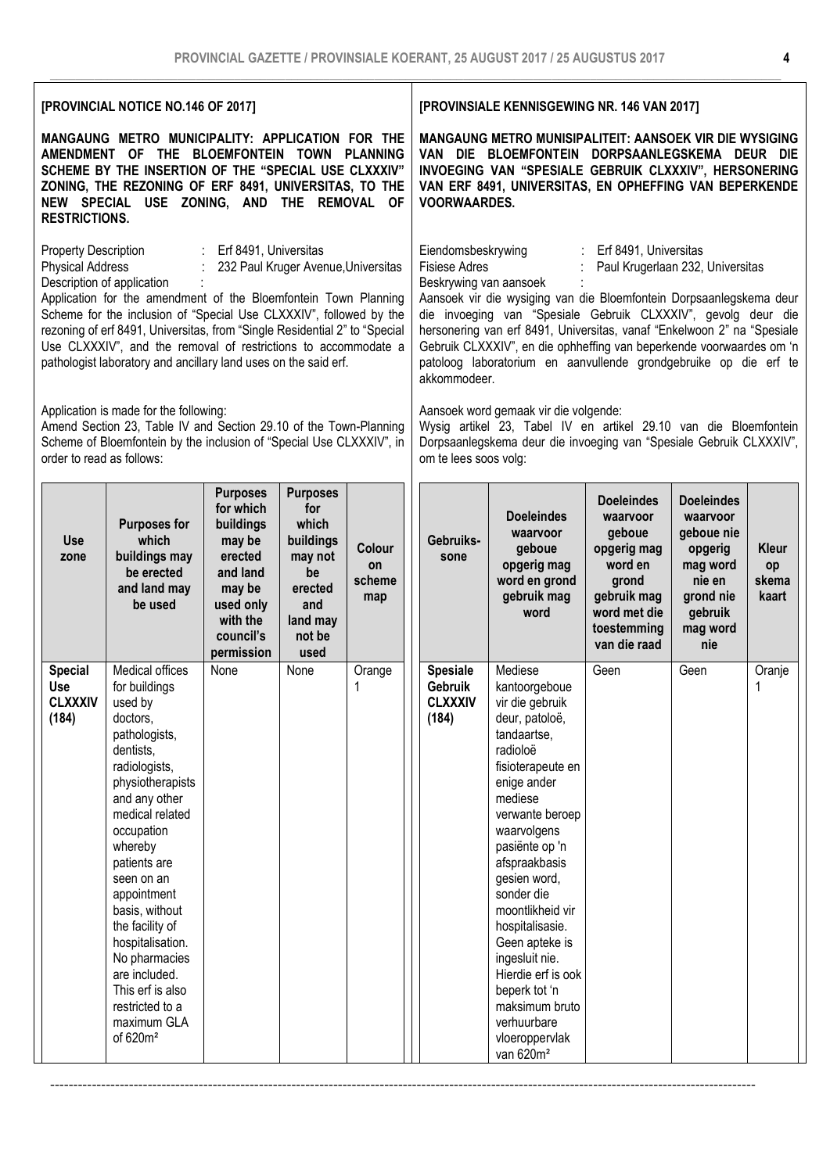| [PROVINCIAL NOTICE NO.146 OF 2017]                                                                                                                                                                                                                                                                                                                                                                                                                                                                          |                                                                                                                                                                                                                                                                                                                                                                                                               |                                                                                                                                          |                                                                                                               | [PROVINSIALE KENNISGEWING NR. 146 VAN 2017]                                                                                                                                                                                                                                                                                                                                                                                                                                                                      |                                                       |                                                                                                                                                                                                                                                                                                                                                                                                                                          |                                                                                                                                          |                                                                                                                         |                                      |
|-------------------------------------------------------------------------------------------------------------------------------------------------------------------------------------------------------------------------------------------------------------------------------------------------------------------------------------------------------------------------------------------------------------------------------------------------------------------------------------------------------------|---------------------------------------------------------------------------------------------------------------------------------------------------------------------------------------------------------------------------------------------------------------------------------------------------------------------------------------------------------------------------------------------------------------|------------------------------------------------------------------------------------------------------------------------------------------|---------------------------------------------------------------------------------------------------------------|------------------------------------------------------------------------------------------------------------------------------------------------------------------------------------------------------------------------------------------------------------------------------------------------------------------------------------------------------------------------------------------------------------------------------------------------------------------------------------------------------------------|-------------------------------------------------------|------------------------------------------------------------------------------------------------------------------------------------------------------------------------------------------------------------------------------------------------------------------------------------------------------------------------------------------------------------------------------------------------------------------------------------------|------------------------------------------------------------------------------------------------------------------------------------------|-------------------------------------------------------------------------------------------------------------------------|--------------------------------------|
| MANGAUNG METRO MUNICIPALITY: APPLICATION FOR THE<br><b>AMENDMENT</b><br>OF THE BLOEMFONTEIN TOWN PLANNING<br>SCHEME BY THE INSERTION OF THE "SPECIAL USE CLXXXIV"<br>ZONING, THE REZONING OF ERF 8491, UNIVERSITAS, TO THE<br>NEW SPECIAL USE ZONING, AND THE REMOVAL OF<br><b>RESTRICTIONS.</b>                                                                                                                                                                                                            |                                                                                                                                                                                                                                                                                                                                                                                                               |                                                                                                                                          |                                                                                                               | MANGAUNG METRO MUNISIPALITEIT: AANSOEK VIR DIE WYSIGING<br>VAN DIE BLOEMFONTEIN DORPSAANLEGSKEMA DEUR DIE<br>INVOEGING VAN "SPESIALE GEBRUIK CLXXXIV", HERSONERING<br>VAN ERF 8491, UNIVERSITAS, EN OPHEFFING VAN BEPERKENDE<br><b>VOORWAARDES.</b>                                                                                                                                                                                                                                                              |                                                       |                                                                                                                                                                                                                                                                                                                                                                                                                                          |                                                                                                                                          |                                                                                                                         |                                      |
| Property Description<br>: Erf 8491, Universitas<br><b>Physical Address</b><br>232 Paul Kruger Avenue, Universitas<br>Description of application<br>Application for the amendment of the Bloemfontein Town Planning<br>Scheme for the inclusion of "Special Use CLXXXIV", followed by the<br>rezoning of erf 8491, Universitas, from "Single Residential 2" to "Special<br>Use CLXXXIV", and the removal of restrictions to accommodate a<br>pathologist laboratory and ancillary land uses on the said erf. |                                                                                                                                                                                                                                                                                                                                                                                                               |                                                                                                                                          |                                                                                                               | Eiendomsbeskrywing<br>Erf 8491, Universitas<br><b>Fisiese Adres</b><br>Paul Krugerlaan 232, Universitas<br>Beskrywing van aansoek<br>Aansoek vir die wysiging van die Bloemfontein Dorpsaanlegskema deur<br>die invoeging van "Spesiale Gebruik CLXXXIV", gevolg deur die<br>hersonering van erf 8491, Universitas, vanaf "Enkelwoon 2" na "Spesiale<br>Gebruik CLXXXIV", en die ophheffing van beperkende voorwaardes om 'n<br>patoloog laboratorium en aanvullende grondgebruike op die erf te<br>akkommodeer. |                                                       |                                                                                                                                                                                                                                                                                                                                                                                                                                          |                                                                                                                                          |                                                                                                                         |                                      |
| Application is made for the following:<br>Amend Section 23, Table IV and Section 29.10 of the Town-Planning<br>Scheme of Bloemfontein by the inclusion of "Special Use CLXXXIV", in<br>order to read as follows:                                                                                                                                                                                                                                                                                            |                                                                                                                                                                                                                                                                                                                                                                                                               |                                                                                                                                          |                                                                                                               | Aansoek word gemaak vir die volgende:<br>Wysig artikel 23, Tabel IV en artikel 29.10 van die Bloemfontein<br>Dorpsaanlegskema deur die invoeging van "Spesiale Gebruik CLXXXIV",<br>om te lees soos volg:                                                                                                                                                                                                                                                                                                        |                                                       |                                                                                                                                                                                                                                                                                                                                                                                                                                          |                                                                                                                                          |                                                                                                                         |                                      |
| <b>Use</b><br>zone                                                                                                                                                                                                                                                                                                                                                                                                                                                                                          | <b>Purposes for</b><br>which<br>buildings may<br>be erected<br>and land may<br>be used                                                                                                                                                                                                                                                                                                                        | <b>Purposes</b><br>for which<br>buildings<br>may be<br>erected<br>and land<br>may be<br>used only<br>with the<br>council's<br>permission | <b>Purposes</b><br>for<br>which<br>buildings<br>may not<br>be<br>erected<br>and<br>land may<br>not be<br>used | Colour<br>on<br>scheme<br>map                                                                                                                                                                                                                                                                                                                                                                                                                                                                                    | Gebruiks-<br>sone                                     | <b>Doeleindes</b><br>waarvoor<br>geboue<br>opgerig mag<br>word en grond<br>gebruik mag<br>word                                                                                                                                                                                                                                                                                                                                           | <b>Doeleindes</b><br>waarvoor<br>geboue<br>opgerig mag<br>word en<br>grond<br>gebruik mag<br>word met die<br>toestemming<br>van die raad | <b>Doeleindes</b><br>waarvoor<br>geboue nie<br>opgerig<br>mag word<br>nie en<br>grond nie<br>gebruik<br>mag word<br>nie | <b>Kleur</b><br>op<br>skema<br>kaart |
| <b>Special</b><br><b>Use</b><br><b>CLXXXIV</b><br>(184)                                                                                                                                                                                                                                                                                                                                                                                                                                                     | Medical offices<br>for buildings<br>used by<br>doctors,<br>pathologists,<br>dentists,<br>radiologists,<br>physiotherapists<br>and any other<br>medical related<br>occupation<br>whereby<br>patients are<br>seen on an<br>appointment<br>basis, without<br>the facility of<br>hospitalisation.<br>No pharmacies<br>are included.<br>This erf is also<br>restricted to a<br>maximum GLA<br>of 620m <sup>2</sup> | None                                                                                                                                     | None                                                                                                          | Orange<br>1                                                                                                                                                                                                                                                                                                                                                                                                                                                                                                      | <b>Spesiale</b><br>Gebruik<br><b>CLXXXIV</b><br>(184) | Mediese<br>kantoorgeboue<br>vir die gebruik<br>deur, patoloë,<br>tandaartse,<br>radioloë<br>fisioterapeute en<br>enige ander<br>mediese<br>verwante beroep<br>waarvolgens<br>pasiënte op 'n<br>afspraakbasis<br>gesien word,<br>sonder die<br>moontlikheid vir<br>hospitalisasie.<br>Geen apteke is<br>ingesluit nie.<br>Hierdie erf is ook<br>beperk tot 'n<br>maksimum bruto<br>verhuurbare<br>vloeroppervlak<br>van 620m <sup>2</sup> | Geen                                                                                                                                     | Geen                                                                                                                    | Oranje<br>1                          |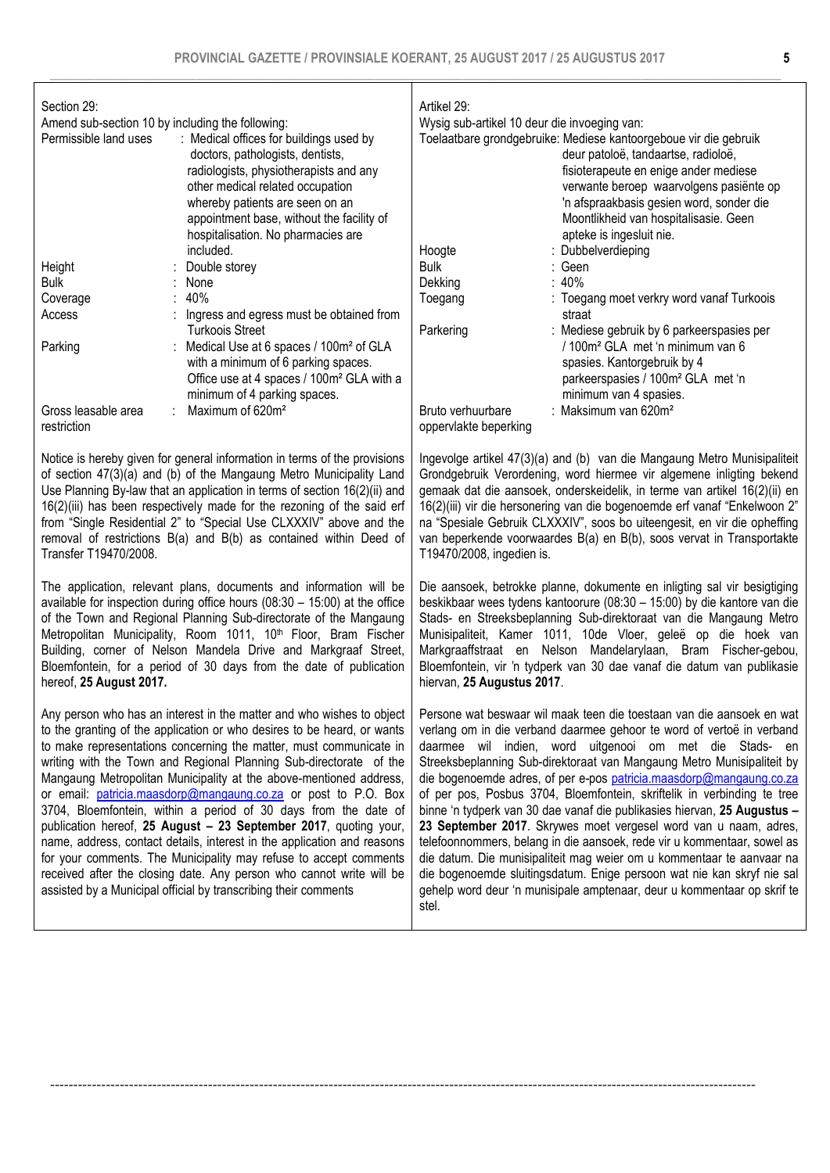Section 29:

Amend sub-section 10 by including the following:

| Permissible land uses              | : Medical offices for buildings used by<br>doctors, pathologists, dentists,<br>radiologists, physiotherapists and any<br>other medical related occupation<br>whereby patients are seen on an<br>appointment base, without the facility of<br>hospitalisation. No pharmacies are |
|------------------------------------|---------------------------------------------------------------------------------------------------------------------------------------------------------------------------------------------------------------------------------------------------------------------------------|
|                                    | included.                                                                                                                                                                                                                                                                       |
| Height                             | Double storey                                                                                                                                                                                                                                                                   |
| <b>Bulk</b>                        | None                                                                                                                                                                                                                                                                            |
| Coverage                           | 40%                                                                                                                                                                                                                                                                             |
| Access                             | Ingress and egress must be obtained from<br>Turkoois Street                                                                                                                                                                                                                     |
| Parking                            | Medical Use at 6 spaces / 100m <sup>2</sup> of GLA<br>with a minimum of 6 parking spaces.<br>Office use at 4 spaces / 100m <sup>2</sup> GLA with a<br>minimum of 4 parking spaces.                                                                                              |
| Gross leasable area<br>restriction | Maximum of 620m <sup>2</sup>                                                                                                                                                                                                                                                    |
|                                    |                                                                                                                                                                                                                                                                                 |

Notice is hereby given for general information in terms of the provisions of section 47(3)(a) and (b) of the Mangaung Metro Municipality Land Use Planning By-law that an application in terms of section 16(2)(ii) and 16(2)(iii) has been respectively made for the rezoning of the said erf from "Single Residential 2" to "Special Use CLXXXIV" above and the removal of restrictions B(a) and B(b) as contained within Deed of Transfer T19470/2008.

The application, relevant plans, documents and information will be available for inspection during office hours (08:30 – 15:00) at the office of the Town and Regional Planning Sub-directorate of the Mangaung Metropolitan Municipality, Room 1011, 10<sup>th</sup> Floor, Bram Fischer Building, corner of Nelson Mandela Drive and Markgraaf Street, Bloemfontein, for a period of 30 days from the date of publication hereof, 25 August 2017.

Any person who has an interest in the matter and who wishes to object to the granting of the application or who desires to be heard, or wants to make representations concerning the matter, must communicate in writing with the Town and Regional Planning Sub-directorate of the Mangaung Metropolitan Municipality at the above-mentioned address, or email: patricia.maasdorp@mangaung.co.za or post to P.O. Box 3704, Bloemfontein, within a period of 30 days from the date of publication hereof, 25 August – 23 September 2017, quoting your, name, address, contact details, interest in the application and reasons for your comments. The Municipality may refuse to accept comments received after the closing date. Any person who cannot write will be assisted by a Municipal official by transcribing their comments

| Artikel 29:<br>Wysig sub-artikel 10 deur die invoeging van:<br>Toelaatbare grondgebruike: Mediese kantoorgeboue vir die gebruik<br>deur patoloë, tandaartse, radioloë,<br>fisioterapeute en enige ander mediese<br>verwante beroep waarvolgens pasiënte op<br>'n afspraakbasis gesien word, sonder die<br>Moontlikheid van hospitalisasie. Geen<br>apteke is ingesluit nie. |  |                                                                                                                                                                                                     |  |
|-----------------------------------------------------------------------------------------------------------------------------------------------------------------------------------------------------------------------------------------------------------------------------------------------------------------------------------------------------------------------------|--|-----------------------------------------------------------------------------------------------------------------------------------------------------------------------------------------------------|--|
| Hoogte                                                                                                                                                                                                                                                                                                                                                                      |  | : Dubbelverdieping                                                                                                                                                                                  |  |
| <b>Bulk</b>                                                                                                                                                                                                                                                                                                                                                                 |  | : Geen                                                                                                                                                                                              |  |
| Dekking                                                                                                                                                                                                                                                                                                                                                                     |  | : $40\%$                                                                                                                                                                                            |  |
| Toegang                                                                                                                                                                                                                                                                                                                                                                     |  | : Toegang moet verkry word vanaf Turkoois<br>straat                                                                                                                                                 |  |
| Parkering                                                                                                                                                                                                                                                                                                                                                                   |  | : Mediese gebruik by 6 parkeerspasies per<br>/ 100m <sup>2</sup> GLA met 'n minimum van 6<br>spasies. Kantorgebruik by 4<br>parkeerspasies / 100m <sup>2</sup> GLA met 'n<br>minimum van 4 spasies. |  |
| Bruto verhuurbare<br>oppervlakte beperking                                                                                                                                                                                                                                                                                                                                  |  | : Maksimum van 620 $m2$                                                                                                                                                                             |  |

Ingevolge artikel 47(3)(a) and (b) van die Mangaung Metro Munisipaliteit Grondgebruik Verordening, word hiermee vir algemene inligting bekend gemaak dat die aansoek, onderskeidelik, in terme van artikel 16(2)(ii) en 16(2)(iii) vir die hersonering van die bogenoemde erf vanaf "Enkelwoon 2" na "Spesiale Gebruik CLXXXIV", soos bo uiteengesit, en vir die opheffing van beperkende voorwaardes B(a) en B(b), soos vervat in Transportakte T19470/2008, ingedien is.

Die aansoek, betrokke planne, dokumente en inligting sal vir besigtiging beskikbaar wees tydens kantoorure (08:30 – 15:00) by die kantore van die Stads- en Streeksbeplanning Sub-direktoraat van die Mangaung Metro Munisipaliteit, Kamer 1011, 10de Vloer, geleë op die hoek van Markgraaffstraat en Nelson Mandelarylaan, Bram Fischer-gebou, Bloemfontein, vir 'n tydperk van 30 dae vanaf die datum van publikasie hiervan, 25 Augustus 2017.

Persone wat beswaar wil maak teen die toestaan van die aansoek en wat verlang om in die verband daarmee gehoor te word of vertoë in verband daarmee wil indien, word uitgenooi om met die Stads- en Streeksbeplanning Sub-direktoraat van Mangaung Metro Munisipaliteit by die bogenoemde adres, of per e-pos patricia.maasdorp@mangaung.co.za of per pos, Posbus 3704, Bloemfontein, skriftelik in verbinding te tree binne 'n tydperk van 30 dae vanaf die publikasies hiervan, 25 Augustus – 23 September 2017. Skrywes moet vergesel word van u naam, adres, telefoonnommers, belang in die aansoek, rede vir u kommentaar, sowel as die datum. Die munisipaliteit mag weier om u kommentaar te aanvaar na die bogenoemde sluitingsdatum. Enige persoon wat nie kan skryf nie sal gehelp word deur 'n munisipale amptenaar, deur u kommentaar op skrif te stel.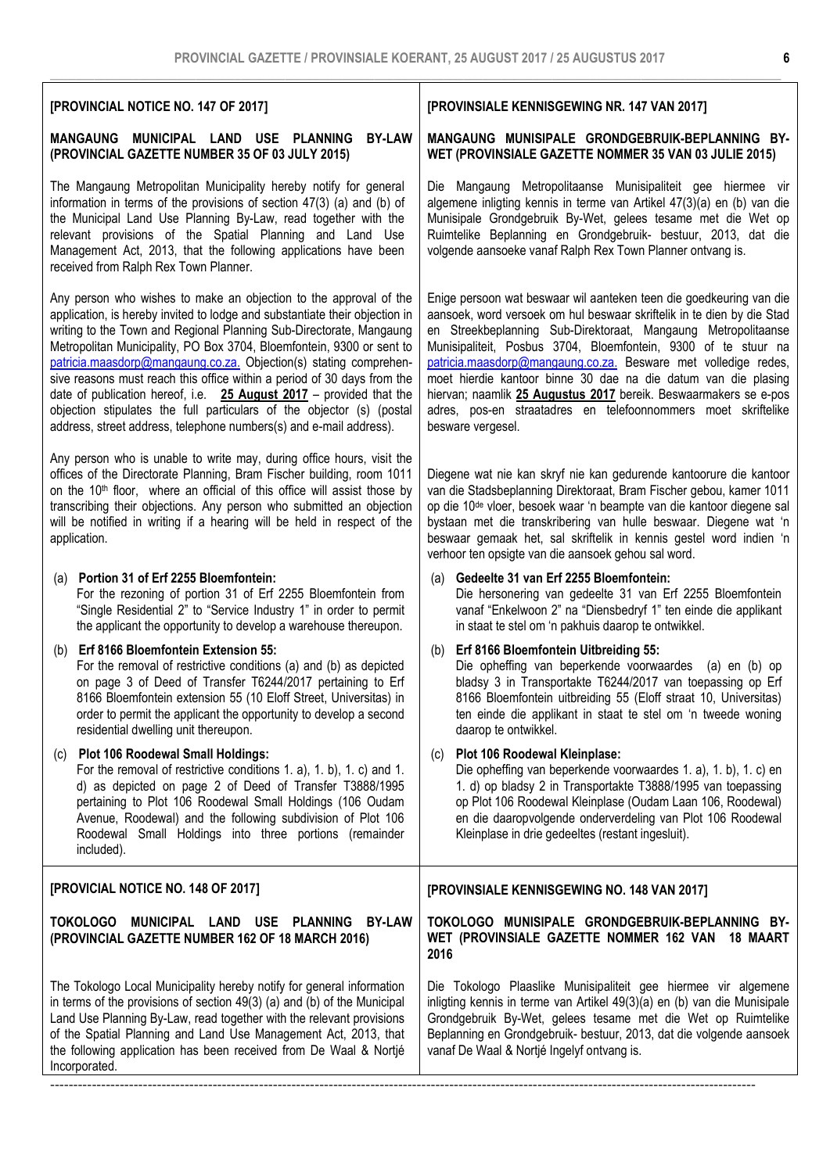## [PROVINCIAL NOTICE NO. 147 OF 2017]

## MANGAUNG MUNICIPAL LAND USE PLANNING BY-LAW (PROVINCIAL GAZETTE NUMBER 35 OF 03 JULY 2015)

The Mangaung Metropolitan Municipality hereby notify for general information in terms of the provisions of section 47(3) (a) and (b) of the Municipal Land Use Planning By-Law, read together with the relevant provisions of the Spatial Planning and Land Use Management Act, 2013, that the following applications have been received from Ralph Rex Town Planner.

Any person who wishes to make an objection to the approval of the application, is hereby invited to lodge and substantiate their objection in writing to the Town and Regional Planning Sub-Directorate, Mangaung Metropolitan Municipality, PO Box 3704, Bloemfontein, 9300 or sent to patricia.maasdorp@mangaung.co.za. Objection(s) stating comprehensive reasons must reach this office within a period of 30 days from the date of publication hereof, i.e. 25 August 2017 – provided that the objection stipulates the full particulars of the objector (s) (postal address, street address, telephone numbers(s) and e-mail address).

Any person who is unable to write may, during office hours, visit the offices of the Directorate Planning, Bram Fischer building, room 1011 on the 10<sup>th</sup> floor, where an official of this office will assist those by transcribing their objections. Any person who submitted an objection will be notified in writing if a hearing will be held in respect of the application.

the following application has been received from De Waal & Nortjé

Incorporated.

### (a) Portion 31 of Erf 2255 Bloemfontein: For the rezoning of portion 31 of Erf 2255 Bloemfontein from "Single Residential 2" to "Service Industry 1" in order to permit the applicant the opportunity to develop a warehouse thereupon. (b) Erf 8166 Bloemfontein Extension 55: For the removal of restrictive conditions (a) and (b) as depicted on page 3 of Deed of Transfer T6244/2017 pertaining to Erf 8166 Bloemfontein extension 55 (10 Eloff Street, Universitas) in order to permit the applicant the opportunity to develop a second residential dwelling unit thereupon. (c) Plot 106 Roodewal Small Holdings: For the removal of restrictive conditions 1. a), 1. b), 1. c) and 1. d) as depicted on page 2 of Deed of Transfer T3888/1995 pertaining to Plot 106 Roodewal Small Holdings (106 Oudam Avenue, Roodewal) and the following subdivision of Plot 106 Roodewal Small Holdings into three portions (remainder included). verhoor ten opsigte van die aansoek gehou sal word. (a) Gedeelte 31 van Erf 2255 Bloemfontein: Die hersonering van gedeelte 31 van Erf 2255 Bloemfontein vanaf "Enkelwoon 2" na "Diensbedryf 1" ten einde die applikant in staat te stel om 'n pakhuis daarop te ontwikkel. (b) Erf 8166 Bloemfontein Uitbreiding 55: Die opheffing van beperkende voorwaardes (a) en (b) op bladsy 3 in Transportakte T6244/2017 van toepassing op Erf 8166 Bloemfontein uitbreiding 55 (Eloff straat 10, Universitas) ten einde die applikant in staat te stel om 'n tweede woning daarop te ontwikkel. (c) Plot 106 Roodewal Kleinplase: Die opheffing van beperkende voorwaardes 1. a), 1. b), 1. c) en 1. d) op bladsy 2 in Transportakte T3888/1995 van toepassing op Plot 106 Roodewal Kleinplase (Oudam Laan 106, Roodewal) en die daaropvolgende onderverdeling van Plot 106 Roodewal Kleinplase in drie gedeeltes (restant ingesluit). [PROVICIAL NOTICE NO. 148 OF 2017] TOKOLOGO MUNICIPAL LAND USE PLANNING BY-LAW (PROVINCIAL GAZETTE NUMBER 162 OF 18 MARCH 2016) The Tokologo Local Municipality hereby notify for general information in terms of the provisions of section 49(3) (a) and (b) of the Municipal Land Use Planning By-Law, read together with the relevant provisions of the Spatial Planning and Land Use Management Act, 2013, that [PROVINSIALE KENNISGEWING NO. 148 VAN 2017] TOKOLOGO MUNISIPALE GRONDGEBRUIK-BEPLANNING BY-WET (PROVINSIALE GAZETTE NOMMER 162 VAN 18 MAART 2016 Die Tokologo Plaaslike Munisipaliteit gee hiermee vir algemene inligting kennis in terme van Artikel 49(3)(a) en (b) van die Munisipale Grondgebruik By-Wet, gelees tesame met die Wet op Ruimtelike

--------------------------------------------------------------------------------------------------------------------------------------------------------

## [PROVINSIALE KENNISGEWING NR. 147 VAN 2017]

## MANGAUNG MUNISIPALE GRONDGEBRUIK-BEPLANNING BY-WET (PROVINSIALE GAZETTE NOMMER 35 VAN 03 JULIE 2015)

Die Mangaung Metropolitaanse Munisipaliteit gee hiermee vir algemene inligting kennis in terme van Artikel 47(3)(a) en (b) van die Munisipale Grondgebruik By-Wet, gelees tesame met die Wet op Ruimtelike Beplanning en Grondgebruik- bestuur, 2013, dat die volgende aansoeke vanaf Ralph Rex Town Planner ontvang is.

Enige persoon wat beswaar wil aanteken teen die goedkeuring van die aansoek, word versoek om hul beswaar skriftelik in te dien by die Stad en Streekbeplanning Sub-Direktoraat, Mangaung Metropolitaanse Munisipaliteit, Posbus 3704, Bloemfontein, 9300 of te stuur na patricia.maasdorp@mangaung.co.za. Besware met volledige redes, moet hierdie kantoor binne 30 dae na die datum van die plasing hiervan; naamlik 25 Augustus 2017 bereik. Beswaarmakers se e-pos adres, pos-en straatadres en telefoonnommers moet skriftelike besware vergesel.

Diegene wat nie kan skryf nie kan gedurende kantoorure die kantoor van die Stadsbeplanning Direktoraat, Bram Fischer gebou, kamer 1011 op die 10de vloer, besoek waar 'n beampte van die kantoor diegene sal bystaan met die transkribering van hulle beswaar. Diegene wat 'n beswaar gemaak het, sal skriftelik in kennis gestel word indien 'n

Beplanning en Grondgebruik- bestuur, 2013, dat die volgende aansoek vanaf De Waal & Nortjé Ingelyf ontvang is.